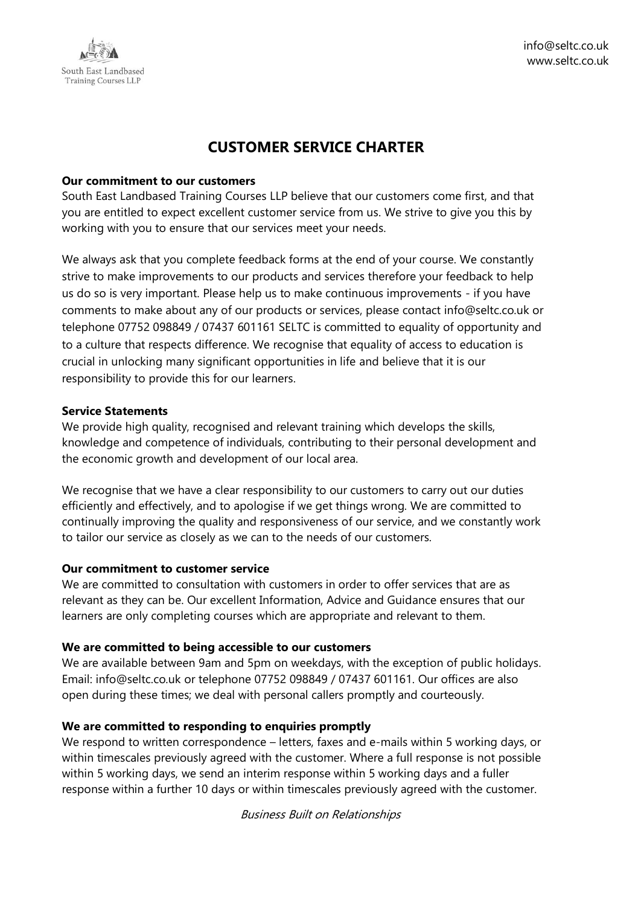

# **CUSTOMER SERVICE CHARTER**

#### **Our commitment to our customers**

South East Landbased Training Courses LLP believe that our customers come first, and that you are entitled to expect excellent customer service from us. We strive to give you this by working with you to ensure that our services meet your needs.

We always ask that you complete feedback forms at the end of your course. We constantly strive to make improvements to our products and services therefore your feedback to help us do so is very important. Please help us to make continuous improvements - if you have comments to make about any of our products or services, please contact info@seltc.co.uk or telephone 07752 098849 / 07437 601161 SELTC is committed to equality of opportunity and to a culture that respects difference. We recognise that equality of access to education is crucial in unlocking many significant opportunities in life and believe that it is our responsibility to provide this for our learners.

#### **Service Statements**

We provide high quality, recognised and relevant training which develops the skills, knowledge and competence of individuals, contributing to their personal development and the economic growth and development of our local area.

We recognise that we have a clear responsibility to our customers to carry out our duties efficiently and effectively, and to apologise if we get things wrong. We are committed to continually improving the quality and responsiveness of our service, and we constantly work to tailor our service as closely as we can to the needs of our customers.

### **Our commitment to customer service**

We are committed to consultation with customers in order to offer services that are as relevant as they can be. Our excellent Information, Advice and Guidance ensures that our learners are only completing courses which are appropriate and relevant to them.

### **We are committed to being accessible to our customers**

We are available between 9am and 5pm on weekdays, with the exception of public holidays. Email: info@seltc.co.uk or telephone 07752 098849 / 07437 601161. Our offices are also open during these times; we deal with personal callers promptly and courteously.

### **We are committed to responding to enquiries promptly**

We respond to written correspondence – letters, faxes and e-mails within 5 working days, or within timescales previously agreed with the customer. Where a full response is not possible within 5 working days, we send an interim response within 5 working days and a fuller response within a further 10 days or within timescales previously agreed with the customer.

Business Built on Relationships